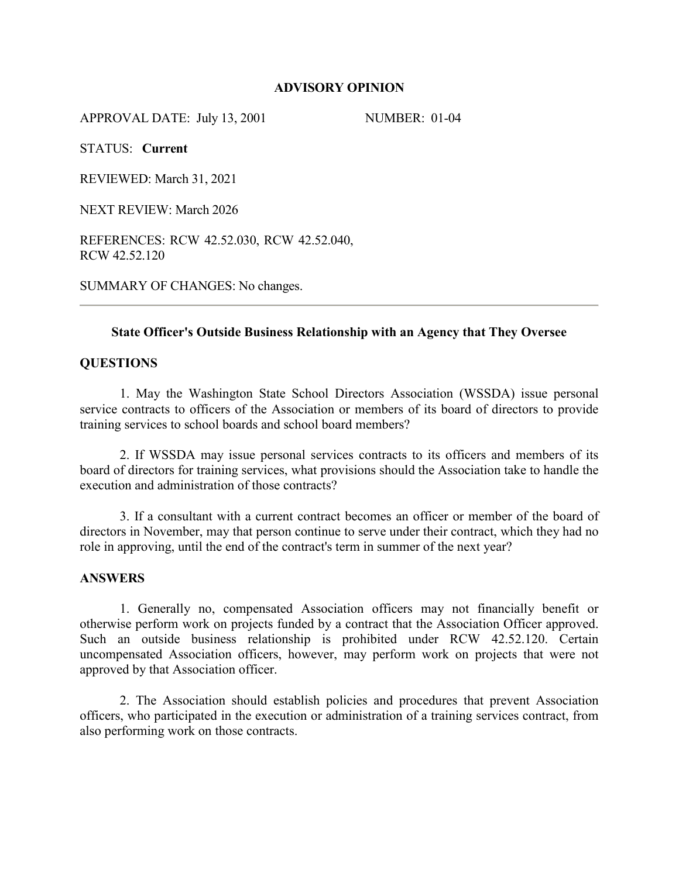## **ADVISORY OPINION**

APPROVAL DATE: July 13, 2001 NUMBER: 01-04

STATUS: **Current**

REVIEWED: March 31, 2021

NEXT REVIEW: March 2026

REFERENCES: RCW 42.52.030, RCW 42.52.040, RCW 42.52.120

SUMMARY OF CHANGES: No changes.

## **State Officer's Outside Business Relationship with an Agency that They Oversee**

#### **QUESTIONS**

1. May the Washington State School Directors Association (WSSDA) issue personal service contracts to officers of the Association or members of its board of directors to provide training services to school boards and school board members?

2. If WSSDA may issue personal services contracts to its officers and members of its board of directors for training services, what provisions should the Association take to handle the execution and administration of those contracts?

3. If a consultant with a current contract becomes an officer or member of the board of directors in November, may that person continue to serve under their contract, which they had no role in approving, until the end of the contract's term in summer of the next year?

#### **ANSWERS**

1. Generally no, compensated Association officers may not financially benefit or otherwise perform work on projects funded by a contract that the Association Officer approved. Such an outside business relationship is prohibited under RCW 42.52.120. Certain uncompensated Association officers, however, may perform work on projects that were not approved by that Association officer.

2. The Association should establish policies and procedures that prevent Association officers, who participated in the execution or administration of a training services contract, from also performing work on those contracts.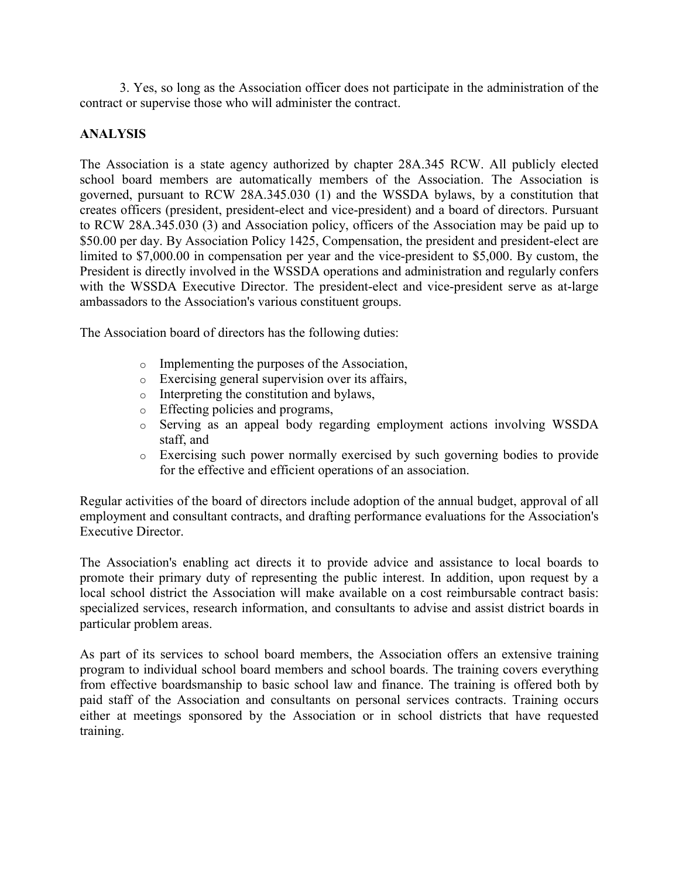3. Yes, so long as the Association officer does not participate in the administration of the contract or supervise those who will administer the contract.

# **ANALYSIS**

The Association is a state agency authorized by chapter 28A.345 RCW. All publicly elected school board members are automatically members of the Association. The Association is governed, pursuant to RCW 28A.345.030 (1) and the WSSDA bylaws, by a constitution that creates officers (president, president-elect and vice-president) and a board of directors. Pursuant to RCW 28A.345.030 (3) and Association policy, officers of the Association may be paid up to \$50.00 per day. By Association Policy 1425, Compensation, the president and president-elect are limited to \$7,000.00 in compensation per year and the vice-president to \$5,000. By custom, the President is directly involved in the WSSDA operations and administration and regularly confers with the WSSDA Executive Director. The president-elect and vice-president serve as at-large ambassadors to the Association's various constituent groups.

The Association board of directors has the following duties:

- o Implementing the purposes of the Association,
- o Exercising general supervision over its affairs,
- o Interpreting the constitution and bylaws,
- o Effecting policies and programs,
- o Serving as an appeal body regarding employment actions involving WSSDA staff, and
- o Exercising such power normally exercised by such governing bodies to provide for the effective and efficient operations of an association.

Regular activities of the board of directors include adoption of the annual budget, approval of all employment and consultant contracts, and drafting performance evaluations for the Association's Executive Director.

The Association's enabling act directs it to provide advice and assistance to local boards to promote their primary duty of representing the public interest. In addition, upon request by a local school district the Association will make available on a cost reimbursable contract basis: specialized services, research information, and consultants to advise and assist district boards in particular problem areas.

As part of its services to school board members, the Association offers an extensive training program to individual school board members and school boards. The training covers everything from effective boardsmanship to basic school law and finance. The training is offered both by paid staff of the Association and consultants on personal services contracts. Training occurs either at meetings sponsored by the Association or in school districts that have requested training.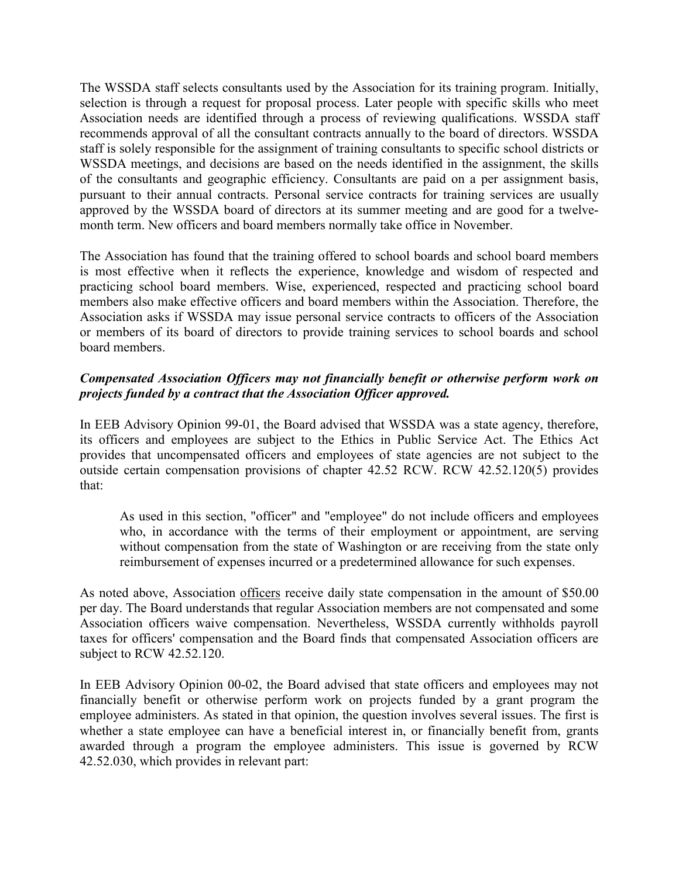The WSSDA staff selects consultants used by the Association for its training program. Initially, selection is through a request for proposal process. Later people with specific skills who meet Association needs are identified through a process of reviewing qualifications. WSSDA staff recommends approval of all the consultant contracts annually to the board of directors. WSSDA staff is solely responsible for the assignment of training consultants to specific school districts or WSSDA meetings, and decisions are based on the needs identified in the assignment, the skills of the consultants and geographic efficiency. Consultants are paid on a per assignment basis, pursuant to their annual contracts. Personal service contracts for training services are usually approved by the WSSDA board of directors at its summer meeting and are good for a twelvemonth term. New officers and board members normally take office in November.

The Association has found that the training offered to school boards and school board members is most effective when it reflects the experience, knowledge and wisdom of respected and practicing school board members. Wise, experienced, respected and practicing school board members also make effective officers and board members within the Association. Therefore, the Association asks if WSSDA may issue personal service contracts to officers of the Association or members of its board of directors to provide training services to school boards and school board members.

# *Compensated Association Officers may not financially benefit or otherwise perform work on projects funded by a contract that the Association Officer approved.*

In EEB Advisory Opinion 99-01, the Board advised that WSSDA was a state agency, therefore, its officers and employees are subject to the Ethics in Public Service Act. The Ethics Act provides that uncompensated officers and employees of state agencies are not subject to the outside certain compensation provisions of chapter 42.52 RCW. RCW 42.52.120(5) provides that:

As used in this section, "officer" and "employee" do not include officers and employees who, in accordance with the terms of their employment or appointment, are serving without compensation from the state of Washington or are receiving from the state only reimbursement of expenses incurred or a predetermined allowance for such expenses.

As noted above, Association officers receive daily state compensation in the amount of \$50.00 per day. The Board understands that regular Association members are not compensated and some Association officers waive compensation. Nevertheless, WSSDA currently withholds payroll taxes for officers' compensation and the Board finds that compensated Association officers are subject to RCW 42.52.120.

In EEB Advisory Opinion 00-02, the Board advised that state officers and employees may not financially benefit or otherwise perform work on projects funded by a grant program the employee administers. As stated in that opinion, the question involves several issues. The first is whether a state employee can have a beneficial interest in, or financially benefit from, grants awarded through a program the employee administers. This issue is governed by RCW 42.52.030, which provides in relevant part: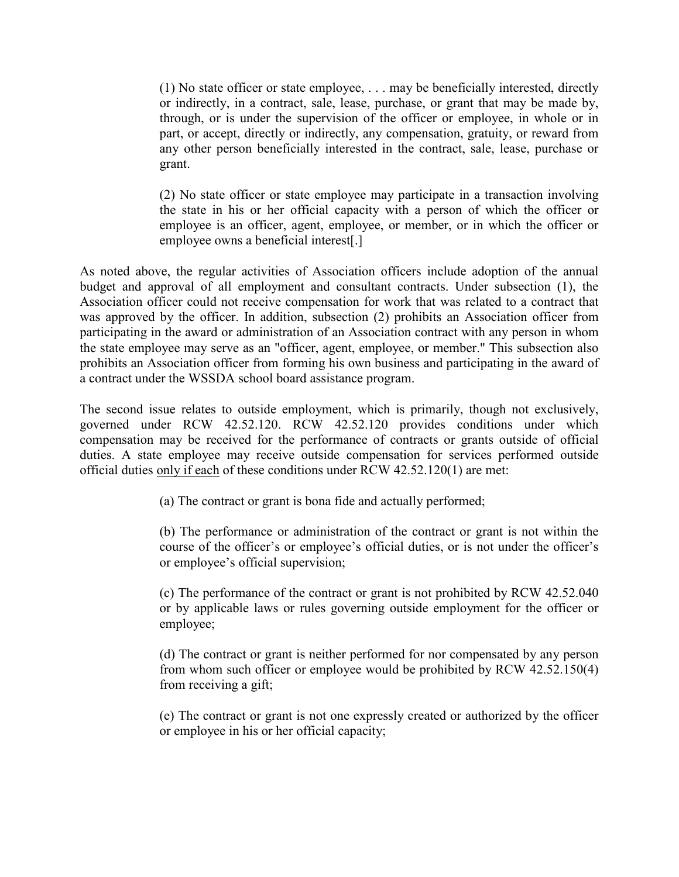(1) No state officer or state employee, . . . may be beneficially interested, directly or indirectly, in a contract, sale, lease, purchase, or grant that may be made by, through, or is under the supervision of the officer or employee, in whole or in part, or accept, directly or indirectly, any compensation, gratuity, or reward from any other person beneficially interested in the contract, sale, lease, purchase or grant.

(2) No state officer or state employee may participate in a transaction involving the state in his or her official capacity with a person of which the officer or employee is an officer, agent, employee, or member, or in which the officer or employee owns a beneficial interest[.]

As noted above, the regular activities of Association officers include adoption of the annual budget and approval of all employment and consultant contracts. Under subsection (1), the Association officer could not receive compensation for work that was related to a contract that was approved by the officer. In addition, subsection (2) prohibits an Association officer from participating in the award or administration of an Association contract with any person in whom the state employee may serve as an "officer, agent, employee, or member." This subsection also prohibits an Association officer from forming his own business and participating in the award of a contract under the WSSDA school board assistance program.

The second issue relates to outside employment, which is primarily, though not exclusively, governed under RCW 42.52.120. RCW 42.52.120 provides conditions under which compensation may be received for the performance of contracts or grants outside of official duties. A state employee may receive outside compensation for services performed outside official duties only if each of these conditions under RCW 42.52.120(1) are met:

(a) The contract or grant is bona fide and actually performed;

(b) The performance or administration of the contract or grant is not within the course of the officer's or employee's official duties, or is not under the officer's or employee's official supervision;

(c) The performance of the contract or grant is not prohibited by RCW 42.52.040 or by applicable laws or rules governing outside employment for the officer or employee;

(d) The contract or grant is neither performed for nor compensated by any person from whom such officer or employee would be prohibited by RCW 42.52.150(4) from receiving a gift;

(e) The contract or grant is not one expressly created or authorized by the officer or employee in his or her official capacity;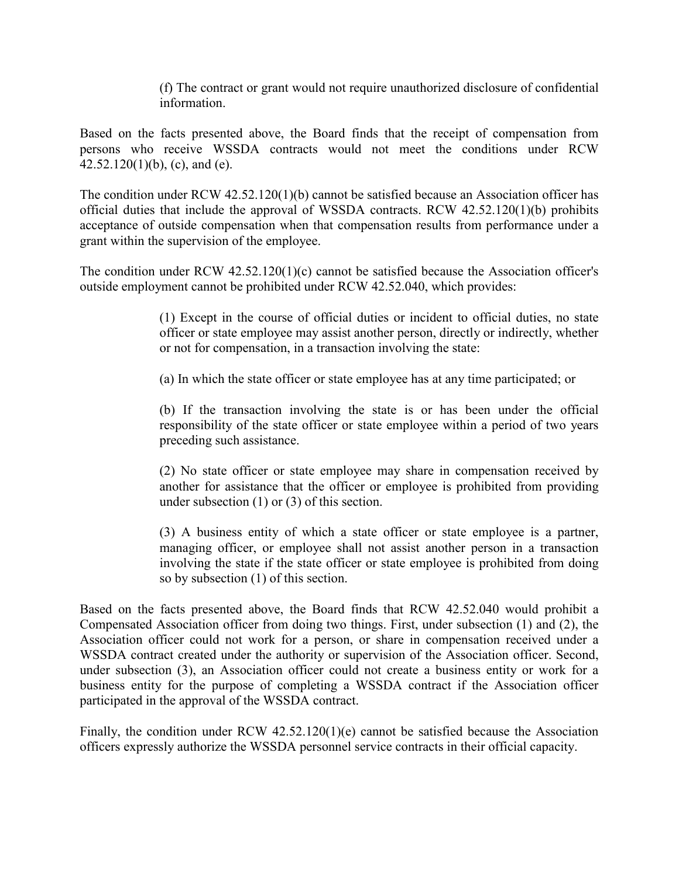(f) The contract or grant would not require unauthorized disclosure of confidential information.

Based on the facts presented above, the Board finds that the receipt of compensation from persons who receive WSSDA contracts would not meet the conditions under RCW 42.52.120(1)(b), (c), and (e).

The condition under RCW 42.52.120(1)(b) cannot be satisfied because an Association officer has official duties that include the approval of WSSDA contracts. RCW 42.52.120(1)(b) prohibits acceptance of outside compensation when that compensation results from performance under a grant within the supervision of the employee.

The condition under RCW 42.52.120(1)(c) cannot be satisfied because the Association officer's outside employment cannot be prohibited under RCW 42.52.040, which provides:

> (1) Except in the course of official duties or incident to official duties, no state officer or state employee may assist another person, directly or indirectly, whether or not for compensation, in a transaction involving the state:

(a) In which the state officer or state employee has at any time participated; or

(b) If the transaction involving the state is or has been under the official responsibility of the state officer or state employee within a period of two years preceding such assistance.

(2) No state officer or state employee may share in compensation received by another for assistance that the officer or employee is prohibited from providing under subsection (1) or (3) of this section.

(3) A business entity of which a state officer or state employee is a partner, managing officer, or employee shall not assist another person in a transaction involving the state if the state officer or state employee is prohibited from doing so by subsection (1) of this section.

Based on the facts presented above, the Board finds that RCW 42.52.040 would prohibit a Compensated Association officer from doing two things. First, under subsection (1) and (2), the Association officer could not work for a person, or share in compensation received under a WSSDA contract created under the authority or supervision of the Association officer. Second, under subsection (3), an Association officer could not create a business entity or work for a business entity for the purpose of completing a WSSDA contract if the Association officer participated in the approval of the WSSDA contract.

Finally, the condition under RCW 42.52.120(1)(e) cannot be satisfied because the Association officers expressly authorize the WSSDA personnel service contracts in their official capacity.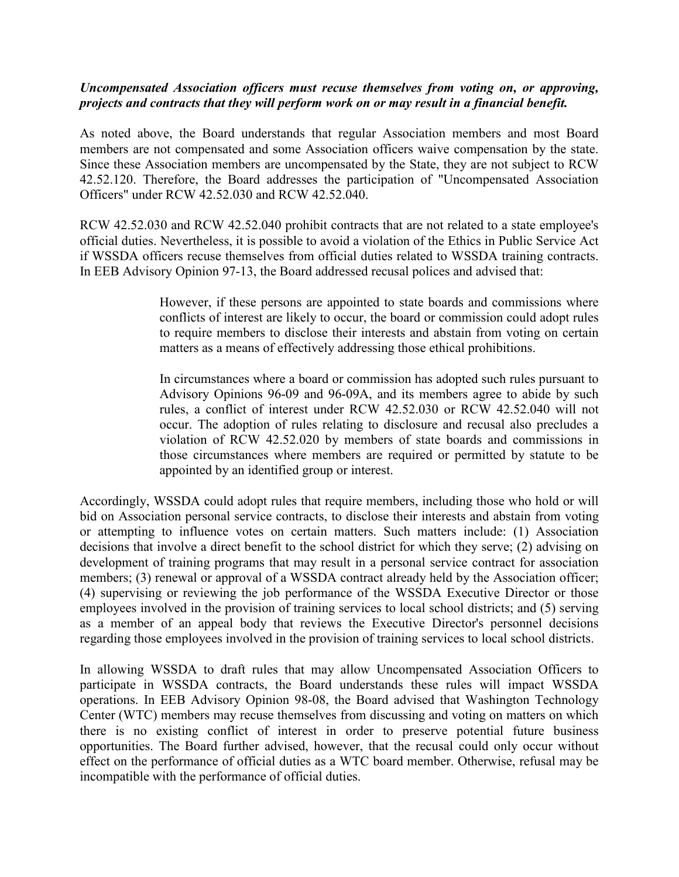## *Uncompensated Association officers must recuse themselves from voting on, or approving, projects and contracts that they will perform work on or may result in a financial benefit.*

As noted above, the Board understands that regular Association members and most Board members are not compensated and some Association officers waive compensation by the state. Since these Association members are uncompensated by the State, they are not subject to RCW 42.52.120. Therefore, the Board addresses the participation of "Uncompensated Association Officers" under RCW 42.52.030 and RCW 42.52.040.

RCW 42.52.030 and RCW 42.52.040 prohibit contracts that are not related to a state employee's official duties. Nevertheless, it is possible to avoid a violation of the Ethics in Public Service Act if WSSDA officers recuse themselves from official duties related to WSSDA training contracts. In EEB Advisory Opinion 97-13, the Board addressed recusal polices and advised that:

> However, if these persons are appointed to state boards and commissions where conflicts of interest are likely to occur, the board or commission could adopt rules to require members to disclose their interests and abstain from voting on certain matters as a means of effectively addressing those ethical prohibitions.

> In circumstances where a board or commission has adopted such rules pursuant to Advisory Opinions 96-09 and 96-09A, and its members agree to abide by such rules, a conflict of interest under RCW 42.52.030 or RCW 42.52.040 will not occur. The adoption of rules relating to disclosure and recusal also precludes a violation of RCW 42.52.020 by members of state boards and commissions in those circumstances where members are required or permitted by statute to be appointed by an identified group or interest.

Accordingly, WSSDA could adopt rules that require members, including those who hold or will bid on Association personal service contracts, to disclose their interests and abstain from voting or attempting to influence votes on certain matters. Such matters include: (1) Association decisions that involve a direct benefit to the school district for which they serve; (2) advising on development of training programs that may result in a personal service contract for association members; (3) renewal or approval of a WSSDA contract already held by the Association officer; (4) supervising or reviewing the job performance of the WSSDA Executive Director or those employees involved in the provision of training services to local school districts; and (5) serving as a member of an appeal body that reviews the Executive Director's personnel decisions regarding those employees involved in the provision of training services to local school districts.

In allowing WSSDA to draft rules that may allow Uncompensated Association Officers to participate in WSSDA contracts, the Board understands these rules will impact WSSDA operations. In EEB Advisory Opinion 98-08, the Board advised that Washington Technology Center (WTC) members may recuse themselves from discussing and voting on matters on which there is no existing conflict of interest in order to preserve potential future business opportunities. The Board further advised, however, that the recusal could only occur without effect on the performance of official duties as a WTC board member. Otherwise, refusal may be incompatible with the performance of official duties.